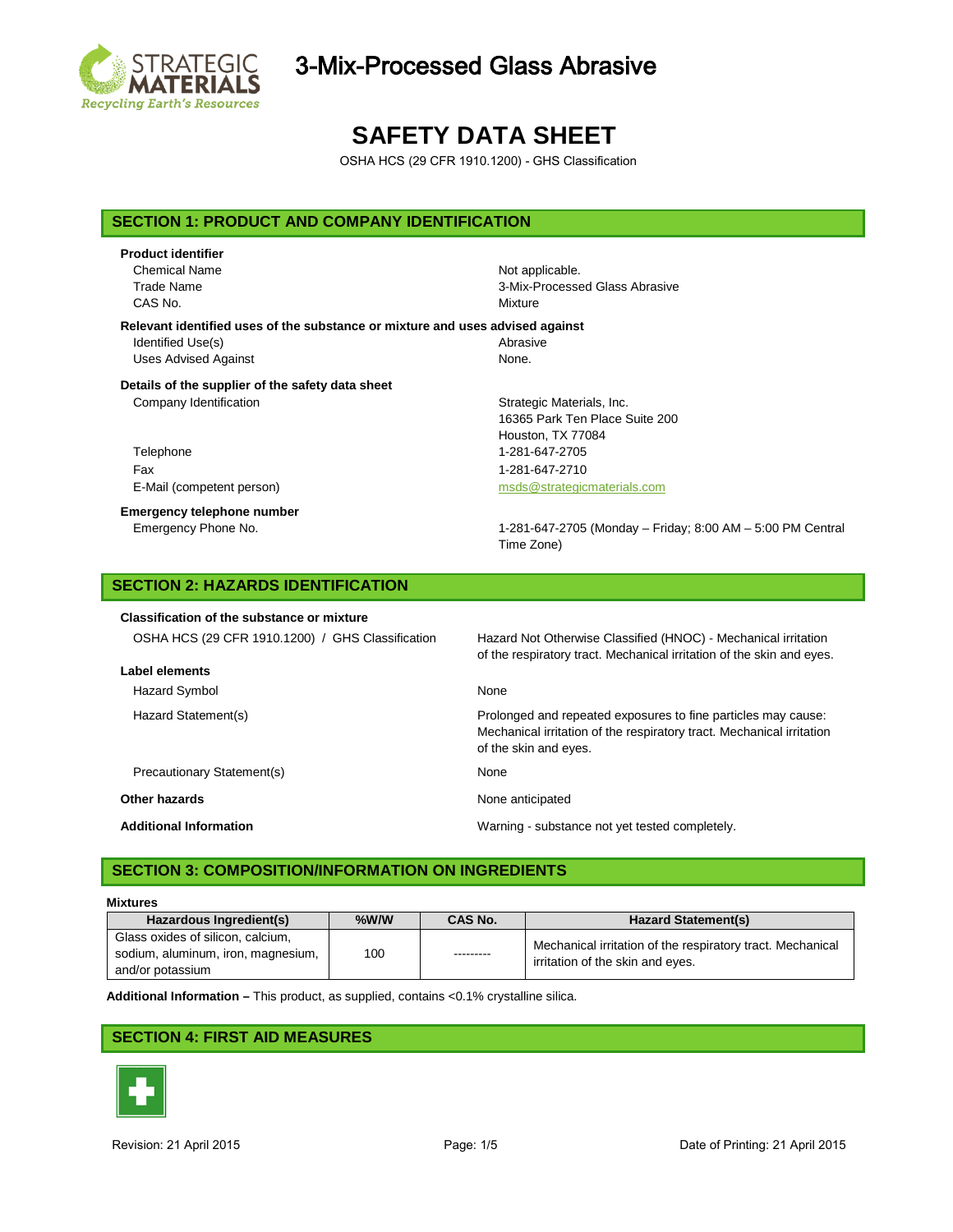

# 3-Mix-Processed Glass Abrasive

# **SAFETY DATA SHEET**

OSHA HCS (29 CFR 1910.1200) - GHS Classification

### **SECTION 1: PRODUCT AND COMPANY IDENTIFICATION**

## **Product identifier** Chemical Name Not applicable. CAS No. **Mixture**

Trade Name 3-Mix-Processed Glass Abrasive

#### **Relevant identified uses of the substance or mixture and uses advised against** Identified Use(s) and the extent of the Abrasive Abrasive Uses Advised Against None.

## **Details of the supplier of the safety data sheet**

Company Identification **Strategic Materials**, Inc.

Telephone 1-281-647-2705 Fax 1-281-647-2710 E-Mail (competent person) example and the materials of msds @strategicmaterials.com

**Emergency telephone number**

16365 Park Ten Place Suite 200 Houston, TX 77084

Emergency Phone No. 1-281-647-2705 (Monday – Friday; 8:00 AM – 5:00 PM Central Time Zone)

## **SECTION 2: HAZARDS IDENTIFICATION**

### **Classification of the substance or mixture**

| OSHA HCS (29 CFR 1910.1200) / GHS Classification<br>Label elements | Hazard Not Otherwise Classified (HNOC) - Mechanical irritation<br>of the respiratory tract. Mechanical irritation of the skin and eyes.                         |
|--------------------------------------------------------------------|-----------------------------------------------------------------------------------------------------------------------------------------------------------------|
| Hazard Symbol                                                      | None                                                                                                                                                            |
| Hazard Statement(s)                                                | Prolonged and repeated exposures to fine particles may cause:<br>Mechanical irritation of the respiratory tract. Mechanical irritation<br>of the skin and eyes. |
| Precautionary Statement(s)                                         | None                                                                                                                                                            |
| Other hazards                                                      | None anticipated                                                                                                                                                |
| <b>Additional Information</b>                                      | Warning - substance not yet tested completely.                                                                                                                  |

## **SECTION 3: COMPOSITION/INFORMATION ON INGREDIENTS**

#### **Mixtures**

| Hazardous Ingredient(s)                                                                     | $%$ W/W | <b>CAS No.</b> | <b>Hazard Statement(s)</b>                                                                     |
|---------------------------------------------------------------------------------------------|---------|----------------|------------------------------------------------------------------------------------------------|
| Glass oxides of silicon, calcium,<br>sodium, aluminum, iron, magnesium,<br>and/or potassium | 100     | ---------      | Mechanical irritation of the respiratory tract. Mechanical<br>irritation of the skin and eyes. |

**Additional Information –** This product, as supplied, contains <0.1% crystalline silica.

### **SECTION 4: FIRST AID MEASURES**

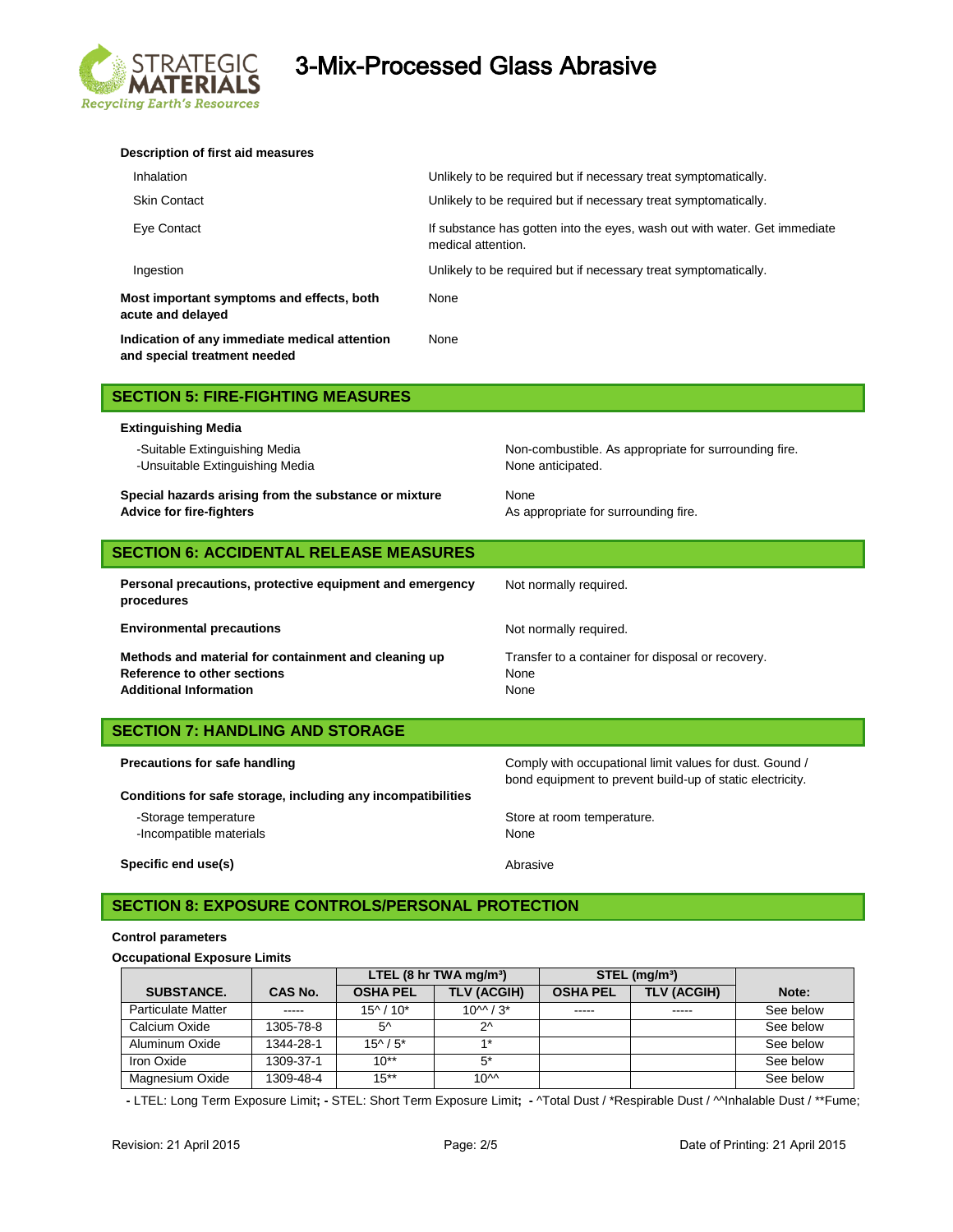

# EGIC 3-Mix-Processed Glass Abrasive

| Description of first aid measures                                             |                                                                                                 |
|-------------------------------------------------------------------------------|-------------------------------------------------------------------------------------------------|
| Inhalation                                                                    | Unlikely to be required but if necessary treat symptomatically.                                 |
| <b>Skin Contact</b>                                                           | Unlikely to be required but if necessary treat symptomatically.                                 |
| Eye Contact                                                                   | If substance has gotten into the eyes, wash out with water. Get immediate<br>medical attention. |
| Ingestion                                                                     | Unlikely to be required but if necessary treat symptomatically.                                 |
| Most important symptoms and effects, both<br>acute and delayed                | None                                                                                            |
| Indication of any immediate medical attention<br>and special treatment needed | None                                                                                            |

|  | <b>SECTION 5: FIRE-FIGHTING MEASURES</b> |
|--|------------------------------------------|
|--|------------------------------------------|

#### **Extinguishing Media**

-Unsuitable Extinguishing Media None anticipated.

**Special hazards arising from the substance or mixture Mone Advice for fire-fighters** 

-Suitable Extinguishing Media Non-combustible. As appropriate for surrounding fire.

As appropriate for surrounding fire.

| <b>SECTION 6: ACCIDENTAL RELEASE MEASURES</b>                          |                                                   |  |  |
|------------------------------------------------------------------------|---------------------------------------------------|--|--|
| Personal precautions, protective equipment and emergency<br>procedures | Not normally required.                            |  |  |
| <b>Environmental precautions</b>                                       | Not normally required.                            |  |  |
| Methods and material for containment and cleaning up                   | Transfer to a container for disposal or recovery. |  |  |
| Reference to other sections                                            | None                                              |  |  |
| <b>Additional Information</b>                                          | None                                              |  |  |
| <b>SECTION 7: HANDLING AND STORAGE</b>                                 |                                                   |  |  |

| Precautions for safe handling                                | Comply with occupational limit values for dust. Gound /<br>bond equipment to prevent build-up of static electricity. |  |
|--------------------------------------------------------------|----------------------------------------------------------------------------------------------------------------------|--|
| Conditions for safe storage, including any incompatibilities |                                                                                                                      |  |
| -Storage temperature                                         | Store at room temperature.                                                                                           |  |
| -Incompatible materials                                      | None                                                                                                                 |  |

**Specific end use(s)** Abrasive

## **SECTION 8: EXPOSURE CONTROLS/PERSONAL PROTECTION**

#### **Control parameters**

#### **Occupational Exposure Limits**

|                           |                | LTEL $(8 \text{ hr} \text{ TWA} \text{ mg/m}^3)$ |                    | $STEL$ (mg/m <sup>3</sup> ) |                    |           |
|---------------------------|----------------|--------------------------------------------------|--------------------|-----------------------------|--------------------|-----------|
| <b>SUBSTANCE.</b>         | <b>CAS No.</b> | <b>OSHA PEL</b>                                  | <b>TLV (ACGIH)</b> | <b>OSHA PEL</b>             | <b>TLV (ACGIH)</b> | Note:     |
| <b>Particulate Matter</b> | -----          | $15^{\circ}$ / $10^*$                            | $10^{M}/3*$        | -----                       | -----              | See below |
| Calcium Oxide             | 1305-78-8      | $5^{\wedge}$                                     | つへ                 |                             |                    | See below |
| Aluminum Oxide            | 1344-28-1      | $15^{\wedge}/5^*$                                | <b>4 *</b>         |                             |                    | See below |
| Iron Oxide                | 1309-37-1      | $10^{**}$                                        | 5*                 |                             |                    | See below |
| Magnesium Oxide           | 1309-48-4      | $15***$                                          | 10 <sup>AA</sup>   |                             |                    | See below |

 **-** LTEL: Long Term Exposure Limit**; -** STEL: Short Term Exposure Limit**; -** ^Total Dust / \*Respirable Dust / ^^Inhalable Dust / \*\*Fume;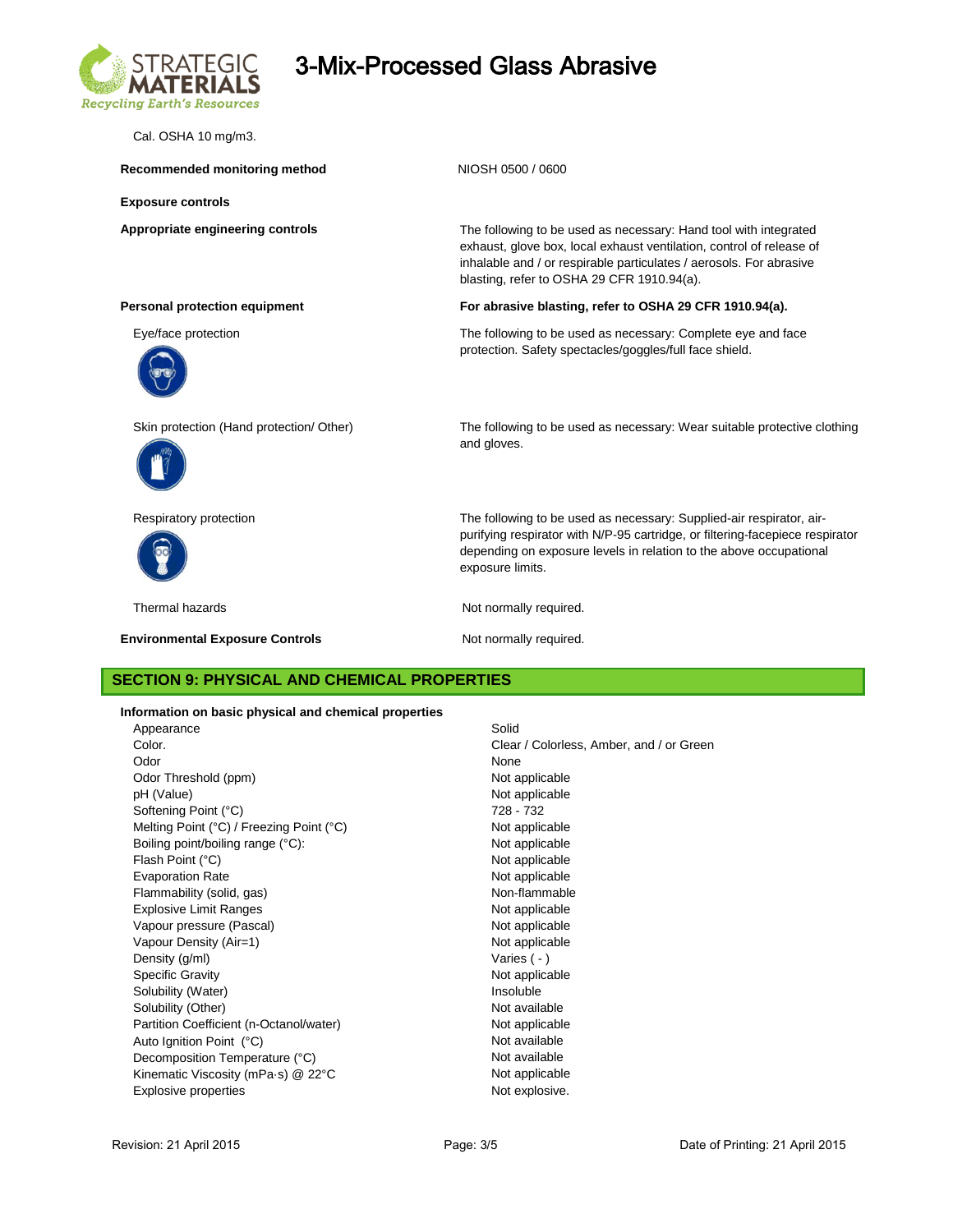

# 3-Mix-Processed Glass Abrasive

Cal. OSHA 10 mg/m3.

Recommended monitoring method<br>
NIOSH 0500 / 0600

**Exposure controls**

**Appropriate engineering controls** The following to be used as necessary: Hand tool with integrated exhaust, glove box, local exhaust ventilation, control of release of inhalable and / or respirable particulates / aerosols. For abrasive blasting, refer to OSHA 29 CFR 1910.94(a).

#### **Personal protection equipment For abrasive blasting, refer to OSHA 29 CFR 1910.94(a).**

Eye/face protection The following to be used as necessary: Complete eye and face protection. Safety spectacles/goggles/full face shield.





**Environmental Exposure Controls Not normally required.** Not normally required.

Skin protection (Hand protection/ Other) The following to be used as necessary: Wear suitable protective clothing and gloves.

Respiratory protection The following to be used as necessary: Supplied-air respirator, airpurifying respirator with N/P-95 cartridge, or filtering-facepiece respirator depending on exposure levels in relation to the above occupational exposure limits.

Thermal hazards **Not report to the COV** Not normally required.

### **SECTION 9: PHYSICAL AND CHEMICAL PROPERTIES**

**Information on basic physical and chemical properties**

| Appearance                               | Solid           |
|------------------------------------------|-----------------|
| Color.                                   | Clear / Colorle |
| Odor                                     | None            |
| Odor Threshold (ppm)                     | Not applicable  |
| pH (Value)                               | Not applicable  |
| Softening Point (°C)                     | 728 - 732       |
| Melting Point (°C) / Freezing Point (°C) | Not applicable  |
| Boiling point/boiling range (°C):        | Not applicable  |
| Flash Point (°C)                         | Not applicable  |
| <b>Evaporation Rate</b>                  | Not applicable  |
| Flammability (solid, gas)                | Non-flammable   |
| <b>Explosive Limit Ranges</b>            | Not applicable  |
| Vapour pressure (Pascal)                 | Not applicable  |
| Vapour Density (Air=1)                   | Not applicable  |
| Density (g/ml)                           | Varies $(-)$    |
| <b>Specific Gravity</b>                  | Not applicable  |
| Solubility (Water)                       | Insoluble       |
| Solubility (Other)                       | Not available   |
| Partition Coefficient (n-Octanol/water)  | Not applicable  |
| Auto Ignition Point (°C)                 | Not available   |
| Decomposition Temperature (°C)           | Not available   |
| Kinematic Viscosity (mPa·s) @ 22°C       | Not applicable  |
| <b>Explosive properties</b>              | Not explosive.  |
|                                          |                 |

Clear / Colorless, Amber, and / or Green Not applicable Not applicable 728 - 732 Not applicable Not applicable Not applicable Not applicable Non-flammable Not applicable Not applicable Not applicable Varies ( - ) Not applicable Insoluble Not available Not applicable Not available Not available Not applicable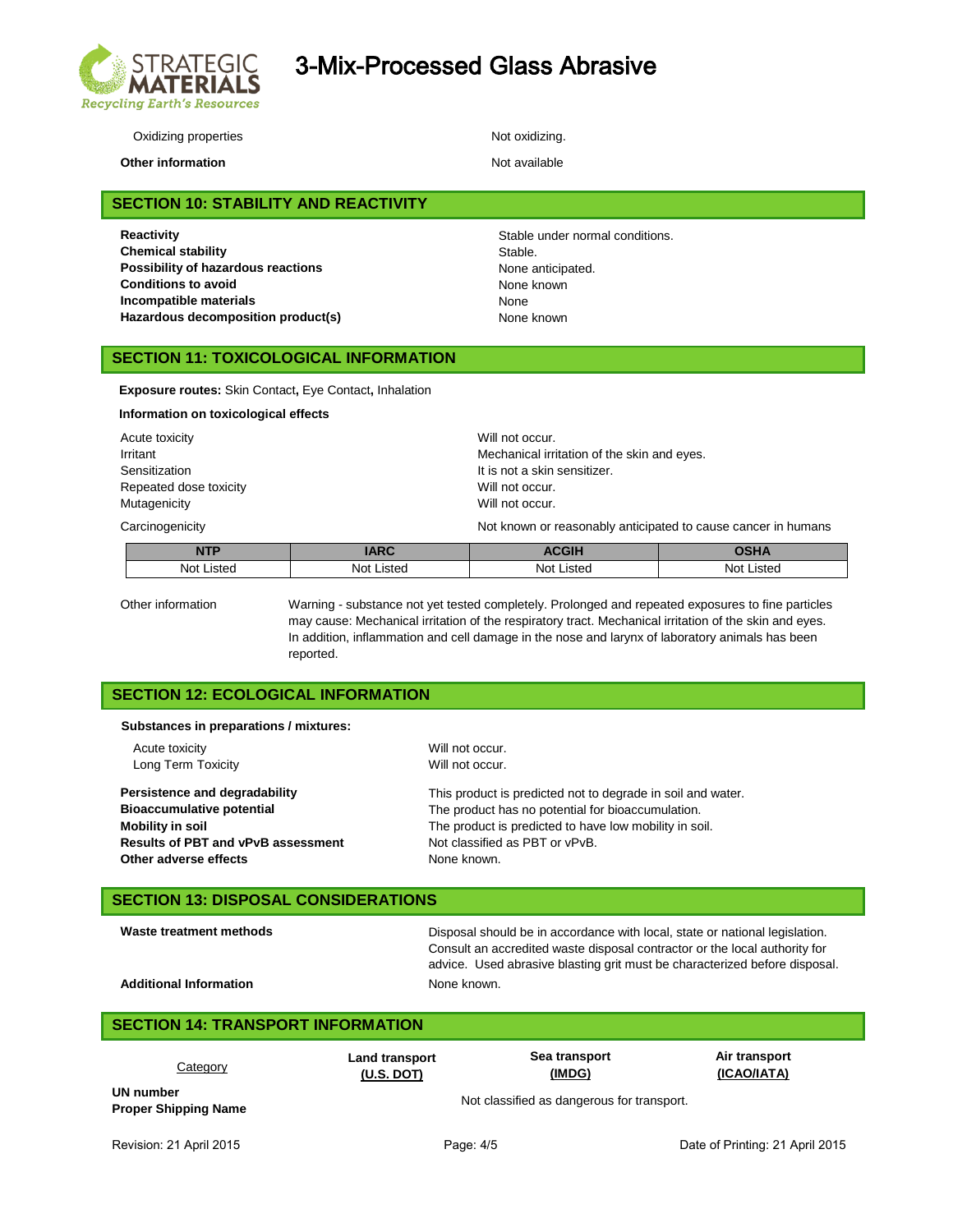

# 3-Mix-Processed Glass Abrasive

Oxidizing properties Not oxidizing.

**Other information Not available** 

**SECTION 10: STABILITY AND REACTIVITY**

**Reactivity Reactivity Stable under normal conditions. Chemical stability** Stable. **Possibility of hazardous reactions None anticipated.**<br> **Conditions to avoid Conditions None known Conditions to avoid Incompatible materials** None Hazardous decomposition product(s) Mone known

**SECTION 11: TOXICOLOGICAL INFORMATION**

**Exposure routes:** Skin Contact**,** Eye Contact**,** Inhalation

| Information on toxicological effects |                                             |  |  |
|--------------------------------------|---------------------------------------------|--|--|
| Acute toxicity                       | Will not occur.                             |  |  |
| Irritant                             | Mechanical irritation of the skin and eyes. |  |  |
| Sensitization                        | It is not a skin sensitizer.                |  |  |
| Repeated dose toxicity               | Will not occur.                             |  |  |
| Mutagenicity                         | Will not occur.                             |  |  |

Carcinogenicity **Not known or reasonably anticipated to cause cancer in humans** Carcinogenicity

| <b>JTD</b> | <b>ADC</b><br>IANU | $C$ $C$ $U$<br>חוטשה | <b>SOLLA</b>  |
|------------|--------------------|----------------------|---------------|
| Not Listed | Not<br>Listed      | <b>Not Listed</b>    | Not<br>Listed |
|            |                    |                      |               |

Other information Warning - substance not yet tested completely. Prolonged and repeated exposures to fine particles may cause: Mechanical irritation of the respiratory tract. Mechanical irritation of the skin and eyes. In addition, inflammation and cell damage in the nose and larynx of laboratory animals has been reported.

## **SECTION 12: ECOLOGICAL INFORMATION**

**Substances in preparations / mixtures:**

Acute toxicity **Acute toxicity** Acute toxicity **Will not occur.** Long Term Toxicity **Will not occur.** 

**Other adverse effects** None known.

**Persistence and degradability** This product is predicted not to degrade in soil and water. **Bioaccumulative potential** The product has no potential for bioaccumulation. **Mobility in soil Mobility in soil.** The product is predicted to have low mobility in soil. **Results of PBT and vPvB assessment** Not classified as PBT or vPvB.

### **SECTION 13: DISPOSAL CONSIDERATIONS**

Waste treatment methods **Disposal should be in accordance with local**, state or national legislation. Consult an accredited waste disposal contractor or the local authority for advice. Used abrasive blasting grit must be characterized before disposal.

Additional Information **None known.** None known.

## **SECTION 14: TRANSPORT INFORMATION**

| <u>Category</u>                          | <b>Land transport</b> | Sea transport                              | Air transport |
|------------------------------------------|-----------------------|--------------------------------------------|---------------|
|                                          | $(U.S.$ DOT)          | (IMDG)                                     | (ICAO/IATA)   |
| UN number<br><b>Proper Shipping Name</b> |                       | Not classified as dangerous for transport. |               |